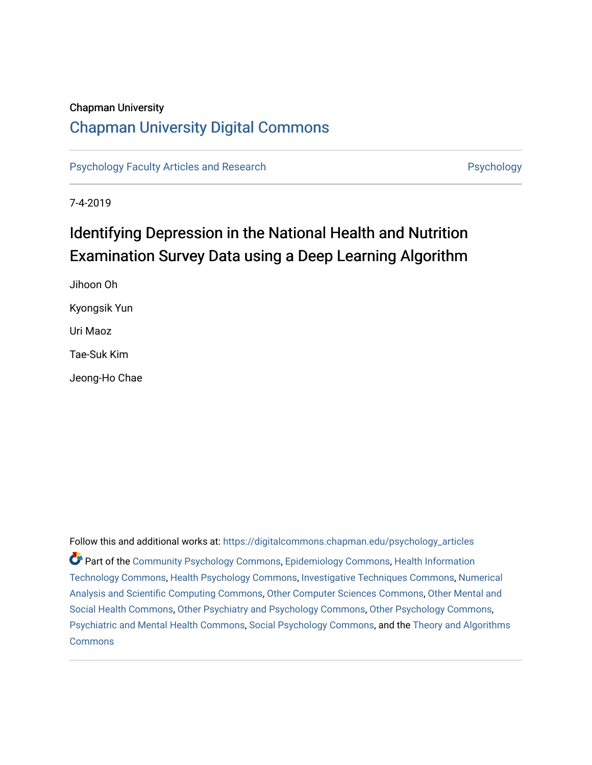### Chapman University

# [Chapman University Digital Commons](https://digitalcommons.chapman.edu/)

[Psychology Faculty Articles and Research](https://digitalcommons.chapman.edu/psychology_articles) **Psychology** Psychology

7-4-2019

# Identifying Depression in the National Health and Nutrition Examination Survey Data using a Deep Learning Algorithm

Jihoon Oh Kyongsik Yun Uri Maoz Tae-Suk Kim Jeong-Ho Chae

Follow this and additional works at: [https://digitalcommons.chapman.edu/psychology\\_articles](https://digitalcommons.chapman.edu/psychology_articles?utm_source=digitalcommons.chapman.edu%2Fpsychology_articles%2F190&utm_medium=PDF&utm_campaign=PDFCoverPages) Part of the [Community Psychology Commons,](http://network.bepress.com/hgg/discipline/409?utm_source=digitalcommons.chapman.edu%2Fpsychology_articles%2F190&utm_medium=PDF&utm_campaign=PDFCoverPages) [Epidemiology Commons,](http://network.bepress.com/hgg/discipline/740?utm_source=digitalcommons.chapman.edu%2Fpsychology_articles%2F190&utm_medium=PDF&utm_campaign=PDFCoverPages) [Health Information](http://network.bepress.com/hgg/discipline/1239?utm_source=digitalcommons.chapman.edu%2Fpsychology_articles%2F190&utm_medium=PDF&utm_campaign=PDFCoverPages)  [Technology Commons,](http://network.bepress.com/hgg/discipline/1239?utm_source=digitalcommons.chapman.edu%2Fpsychology_articles%2F190&utm_medium=PDF&utm_campaign=PDFCoverPages) [Health Psychology Commons](http://network.bepress.com/hgg/discipline/411?utm_source=digitalcommons.chapman.edu%2Fpsychology_articles%2F190&utm_medium=PDF&utm_campaign=PDFCoverPages), [Investigative Techniques Commons](http://network.bepress.com/hgg/discipline/922?utm_source=digitalcommons.chapman.edu%2Fpsychology_articles%2F190&utm_medium=PDF&utm_campaign=PDFCoverPages), [Numerical](http://network.bepress.com/hgg/discipline/147?utm_source=digitalcommons.chapman.edu%2Fpsychology_articles%2F190&utm_medium=PDF&utm_campaign=PDFCoverPages) [Analysis and Scientific Computing Commons,](http://network.bepress.com/hgg/discipline/147?utm_source=digitalcommons.chapman.edu%2Fpsychology_articles%2F190&utm_medium=PDF&utm_campaign=PDFCoverPages) [Other Computer Sciences Commons](http://network.bepress.com/hgg/discipline/152?utm_source=digitalcommons.chapman.edu%2Fpsychology_articles%2F190&utm_medium=PDF&utm_campaign=PDFCoverPages), [Other Mental and](http://network.bepress.com/hgg/discipline/717?utm_source=digitalcommons.chapman.edu%2Fpsychology_articles%2F190&utm_medium=PDF&utm_campaign=PDFCoverPages) [Social Health Commons](http://network.bepress.com/hgg/discipline/717?utm_source=digitalcommons.chapman.edu%2Fpsychology_articles%2F190&utm_medium=PDF&utm_campaign=PDFCoverPages), [Other Psychiatry and Psychology Commons,](http://network.bepress.com/hgg/discipline/992?utm_source=digitalcommons.chapman.edu%2Fpsychology_articles%2F190&utm_medium=PDF&utm_campaign=PDFCoverPages) [Other Psychology Commons,](http://network.bepress.com/hgg/discipline/415?utm_source=digitalcommons.chapman.edu%2Fpsychology_articles%2F190&utm_medium=PDF&utm_campaign=PDFCoverPages) [Psychiatric and Mental Health Commons](http://network.bepress.com/hgg/discipline/711?utm_source=digitalcommons.chapman.edu%2Fpsychology_articles%2F190&utm_medium=PDF&utm_campaign=PDFCoverPages), [Social Psychology Commons](http://network.bepress.com/hgg/discipline/414?utm_source=digitalcommons.chapman.edu%2Fpsychology_articles%2F190&utm_medium=PDF&utm_campaign=PDFCoverPages), and the [Theory and Algorithms](http://network.bepress.com/hgg/discipline/151?utm_source=digitalcommons.chapman.edu%2Fpsychology_articles%2F190&utm_medium=PDF&utm_campaign=PDFCoverPages) **[Commons](http://network.bepress.com/hgg/discipline/151?utm_source=digitalcommons.chapman.edu%2Fpsychology_articles%2F190&utm_medium=PDF&utm_campaign=PDFCoverPages)**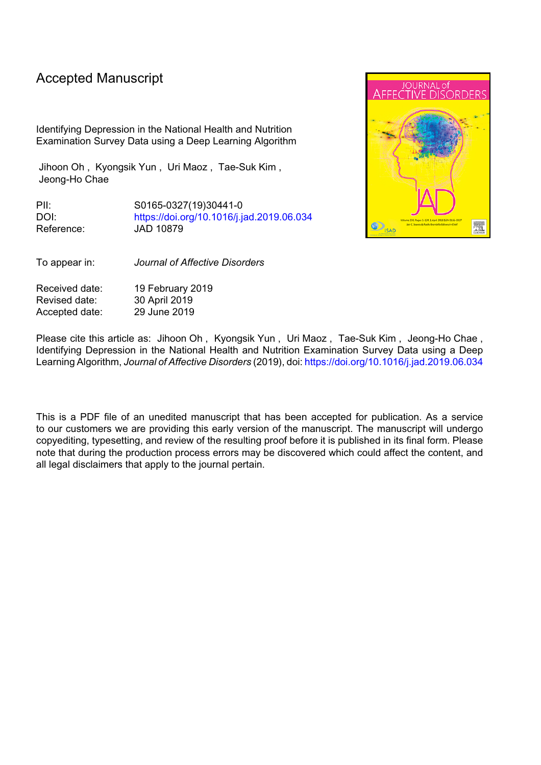# Accepted Manuscript

Identifying Depression in the National Health and Nutrition Examination Survey Data using a Deep Learning Algorithm

Jihoon Oh , Kyongsik Yun , Uri Maoz , Tae-Suk Kim , Jeong-Ho Chae

PII: S0165-0327(19)30441-0 DOI: <https://doi.org/10.1016/j.jad.2019.06.034> Reference: JAD 10879



To appear in: *Journal of Affective Disorders*

Received date: 19 February 2019 Revised date: 30 April 2019 Accepted date: 29 June 2019

Please cite this article as: Jihoon Oh , Kyongsik Yun , Uri Maoz , Tae-Suk Kim , Jeong-Ho Chae , Identifying Depression in the National Health and Nutrition Examination Survey Data using a Deep Learning Algorithm, *Journal of Affective Disorders* (2019), doi: <https://doi.org/10.1016/j.jad.2019.06.034>

This is a PDF file of an unedited manuscript that has been accepted for publication. As a service to our customers we are providing this early version of the manuscript. The manuscript will undergo copyediting, typesetting, and review of the resulting proof before it is published in its final form. Please note that during the production process errors may be discovered which could affect the content, and all legal disclaimers that apply to the journal pertain.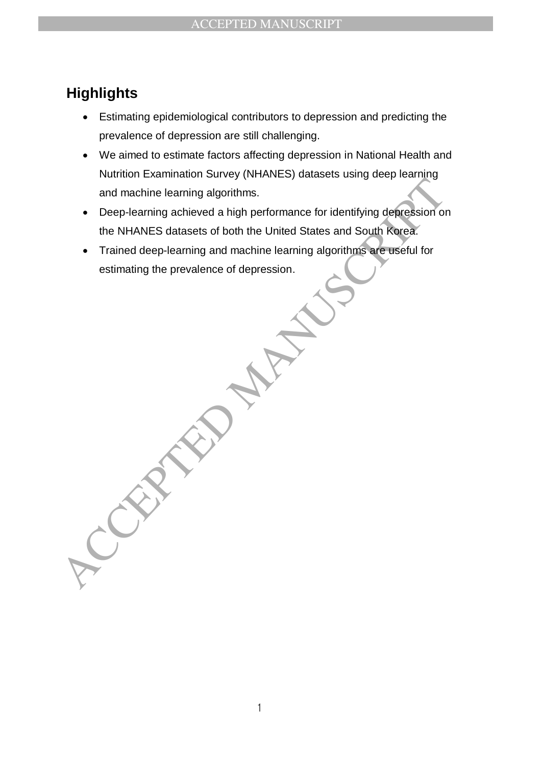# **Highlights**

- Estimating epidemiological contributors to depression and predicting the prevalence of depression are still challenging.
- We aimed to estimate factors affecting depression in National Health and Nutrition Examination Survey (NHANES) datasets using deep learning and machine learning algorithms.
- and machine learning algorithms.<br>
 Deep-learning achieved a high performance for identifying depression on<br>
the NHANES datasets of both the United States and South Rorea.<br>
 Trained deep-learning and machine learning algo Deep-learning achieved a high performance for identifying depression on the NHANES datasets of both the United States and South Korea.
	- Trained deep-learning and machine learning algorithms are useful for estimating the prevalence of depression.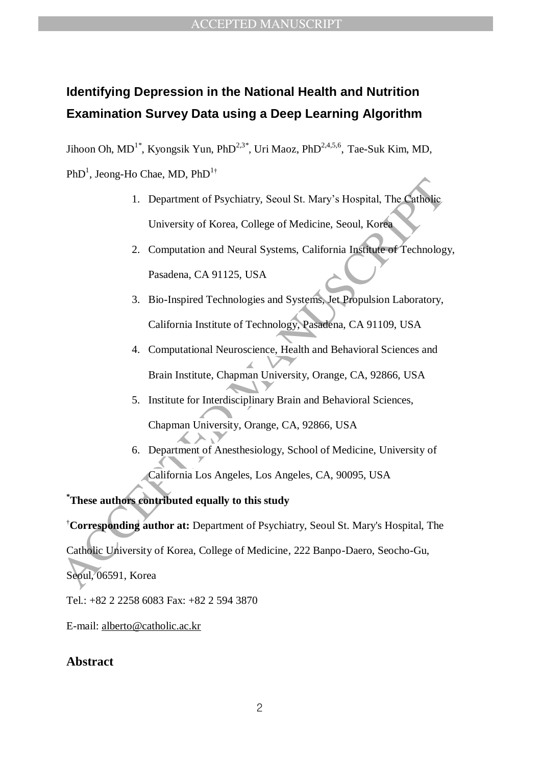# **Identifying Depression in the National Health and Nutrition Examination Survey Data using a Deep Learning Algorithm**

Jihoon Oh, MD<sup>1\*</sup>, Kyongsik Yun, PhD<sup>2,3\*</sup>, Uri Maoz, PhD<sup>2,4,5,6</sup>, Tae-Suk Kim, MD,  $PhD<sup>1</sup>$ , Jeong-Ho Chae, MD, Ph $D<sup>1\dagger</sup>$ 

- 1. Department of Psychiatry, Seoul St. Mary's Hospital, The Catholic University of Korea, College of Medicine, Seoul, Korea
- 2. Computation and Neural Systems, California Institute of Technology, Pasadena, CA 91125, USA
- 3. Bio-Inspired Technologies and Systems, Jet Propulsion Laboratory, California Institute of Technology, Pasadena, CA 91109, USA
- 1. Department of Psychiatry, Seoul St. Mary's Hospital, The Catholic<br>
University of Korea, College of Medicine, Seoul, Korea<br>
2. Computation and Neural Systems, California Institute of Technolog<br>
Pasadena, CA 91125, USA<br>
3 4. Computational Neuroscience, Health and Behavioral Sciences and Brain Institute, Chapman University, Orange, CA, 92866, USA
	- 5. Institute for Interdisciplinary Brain and Behavioral Sciences, Chapman University, Orange, CA, 92866, USA
	- 6. Department of Anesthesiology, School of Medicine, University of California Los Angeles, Los Angeles, CA, 90095, USA

**\*These authors contributed equally to this study**

†**Corresponding author at:** Department of Psychiatry, Seoul St. Mary's Hospital, The

Catholic University of Korea, College of Medicine, 222 Banpo-Daero, Seocho-Gu,

Seoul, 06591, Korea

Tel.: +82 2 2258 6083 Fax: +82 2 594 3870

E-mail: alberto@catholic.ac.kr

### **Abstract**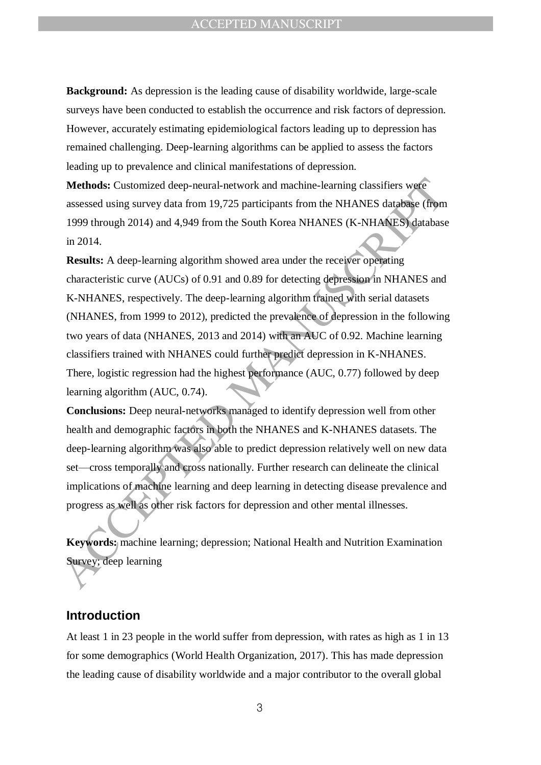**Background:** As depression is the leading cause of disability worldwide, large-scale surveys have been conducted to establish the occurrence and risk factors of depression. However, accurately estimating epidemiological factors leading up to depression has remained challenging. Deep-learning algorithms can be applied to assess the factors leading up to prevalence and clinical manifestations of depression.

**Methods:** Customized deep-neural-network and machine-learning classifiers were assessed using survey data from 19,725 participants from the NHANES database (from 1999 through 2014) and 4,949 from the South Korea NHANES (K-NHANES) database in 2014.

**Methods:** Customized deep-neural-network and machine-learning classifiers were<br>assessed using survey data from 19.725 participants from the NHANES database (from<br>1999 through 2014) and 4,949 from the South Korea NHANES ( **Results:** A deep-learning algorithm showed area under the receiver operating characteristic curve (AUCs) of 0.91 and 0.89 for detecting depression in NHANES and K-NHANES, respectively. The deep-learning algorithm trained with serial datasets (NHANES, from 1999 to 2012), predicted the prevalence of depression in the following two years of data (NHANES, 2013 and 2014) with an AUC of 0.92. Machine learning classifiers trained with NHANES could further predict depression in K-NHANES. There, logistic regression had the highest performance (AUC, 0.77) followed by deep learning algorithm (AUC, 0.74).

**Conclusions:** Deep neural-networks managed to identify depression well from other health and demographic factors in both the NHANES and K-NHANES datasets. The deep-learning algorithm was also able to predict depression relatively well on new data set—cross temporally and cross nationally. Further research can delineate the clinical implications of machine learning and deep learning in detecting disease prevalence and progress as well as other risk factors for depression and other mental illnesses.

**Keywords:** machine learning; depression; National Health and Nutrition Examination Survey; deep learning

### **Introduction**

At least 1 in 23 people in the world suffer from depression, with rates as high as 1 in 13 for some demographics (World Health Organization, 2017). This has made depression the leading cause of disability worldwide and a major contributor to the overall global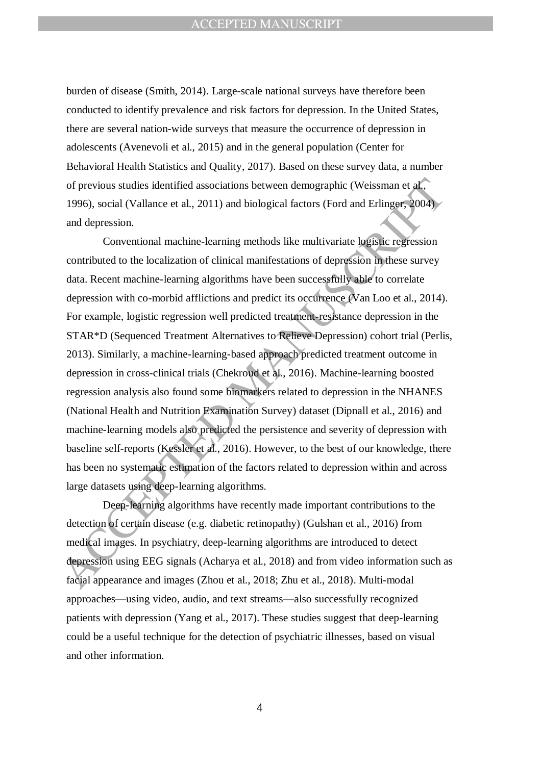burden of disease (Smith, 2014). Large-scale national surveys have therefore been conducted to identify prevalence and risk factors for depression. In the United States, there are several nation-wide surveys that measure the occurrence of depression in adolescents (Avenevoli et al., 2015) and in the general population (Center for Behavioral Health Statistics and Quality, 2017). Based on these survey data, a number of previous studies identified associations between demographic (Weissman et al., 1996), social (Vallance et al., 2011) and biological factors (Ford and Erlinger, 2004) and depression.

of previous studies identified associations between demographic (Weissman et al.<br>1996), social (Vallance et al., 2011) and biological factors (Ford and Erlinger, 2004),<br>and depression.<br>Conventional machine-learning method Conventional machine-learning methods like multivariate logistic regression contributed to the localization of clinical manifestations of depression in these survey data. Recent machine-learning algorithms have been successfully able to correlate depression with co-morbid afflictions and predict its occurrence (Van Loo et al., 2014). For example, logistic regression well predicted treatment-resistance depression in the STAR\*D (Sequenced Treatment Alternatives to Relieve Depression) cohort trial (Perlis, 2013). Similarly, a machine-learning-based approach predicted treatment outcome in depression in cross-clinical trials (Chekroud et al., 2016). Machine-learning boosted regression analysis also found some biomarkers related to depression in the NHANES (National Health and Nutrition Examination Survey) dataset (Dipnall et al., 2016) and machine-learning models also predicted the persistence and severity of depression with baseline self-reports (Kessler et al., 2016). However, to the best of our knowledge, there has been no systematic estimation of the factors related to depression within and across large datasets using deep-learning algorithms.

Deep-learning algorithms have recently made important contributions to the detection of certain disease (e.g. diabetic retinopathy) (Gulshan et al., 2016) from medical images. In psychiatry, deep-learning algorithms are introduced to detect depression using EEG signals (Acharya et al., 2018) and from video information such as facial appearance and images (Zhou et al., 2018; Zhu et al., 2018). Multi-modal approaches—using video, audio, and text streams—also successfully recognized patients with depression (Yang et al., 2017). These studies suggest that deep-learning could be a useful technique for the detection of psychiatric illnesses, based on visual and other information.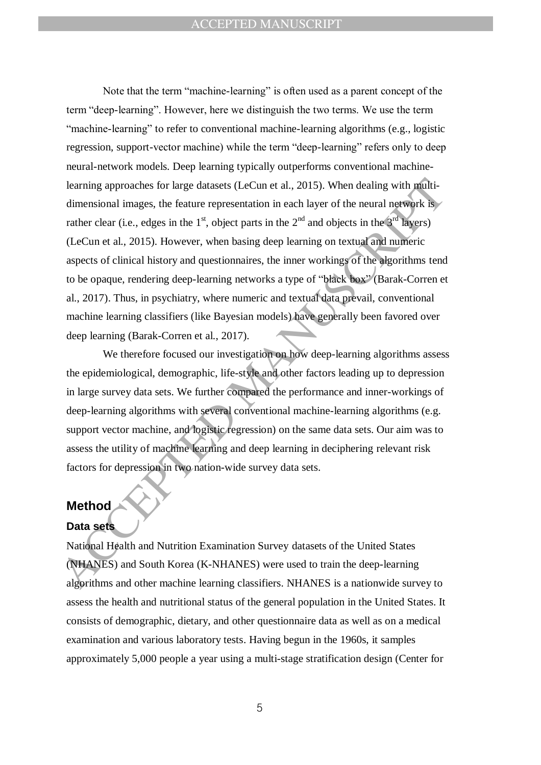learning approaches for large datasets (LeCun et al., 2015). When dealing with multi-<br>dimensional images, the feature representation in each layer of the neural network is<br>rather clear (i.e., edges in the 1<sup>st</sup>, object pa Note that the term "machine-learning" is often used as a parent concept of the term "deep-learning". However, here we distinguish the two terms. We use the term "machine-learning" to refer to conventional machine-learning algorithms (e.g., logistic regression, support-vector machine) while the term "deep-learning" refers only to deep neural-network models. Deep learning typically outperforms conventional machinelearning approaches for large datasets (LeCun et al., 2015). When dealing with multidimensional images, the feature representation in each layer of the neural network is rather clear (i.e., edges in the  $1<sup>st</sup>$ , object parts in the  $2<sup>nd</sup>$  and objects in the  $3<sup>rd</sup>$  layers) (LeCun et al., 2015). However, when basing deep learning on textual and numeric aspects of clinical history and questionnaires, the inner workings of the algorithms tend to be opaque, rendering deep-learning networks a type of "black box" (Barak-Corren et al., 2017). Thus, in psychiatry, where numeric and textual data prevail, conventional machine learning classifiers (like Bayesian models) have generally been favored over deep learning (Barak-Corren et al., 2017).

We therefore focused our investigation on how deep-learning algorithms assess the epidemiological, demographic, life-style and other factors leading up to depression in large survey data sets. We further compared the performance and inner-workings of deep-learning algorithms with several conventional machine-learning algorithms (e.g. support vector machine, and logistic regression) on the same data sets. Our aim was to assess the utility of machine learning and deep learning in deciphering relevant risk factors for depression in two nation-wide survey data sets.

## **Method**

## **Data sets**

National Health and Nutrition Examination Survey datasets of the United States (NHANES) and South Korea (K-NHANES) were used to train the deep-learning algorithms and other machine learning classifiers. NHANES is a nationwide survey to assess the health and nutritional status of the general population in the United States. It consists of demographic, dietary, and other questionnaire data as well as on a medical examination and various laboratory tests. Having begun in the 1960s, it samples approximately 5,000 people a year using a multi-stage stratification design (Center for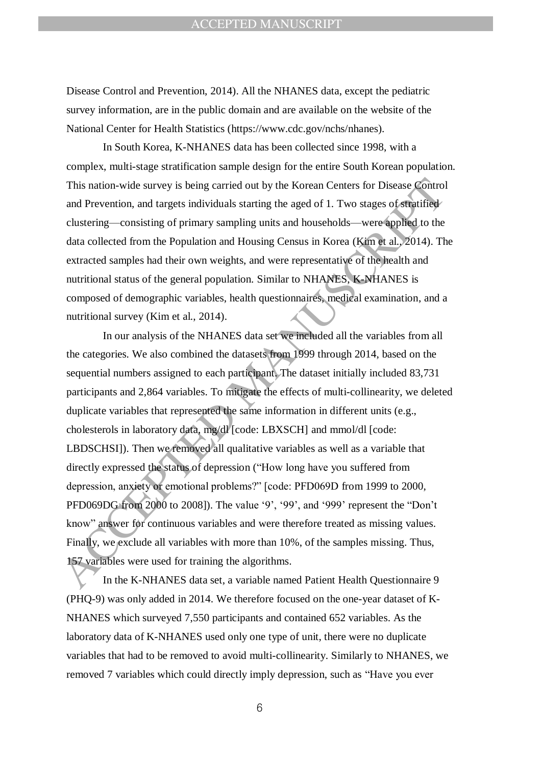Disease Control and Prevention, 2014). All the NHANES data, except the pediatric survey information, are in the public domain and are available on the website of the National Center for Health Statistics (https://www.cdc.gov/nchs/nhanes).

In South Korea, K-NHANES data has been collected since 1998, with a complex, multi-stage stratification sample design for the entire South Korean population. This nation-wide survey is being carried out by the Korean Centers for Disease Control and Prevention, and targets individuals starting the aged of 1. Two stages of stratified clustering—consisting of primary sampling units and households—were applied to the data collected from the Population and Housing Census in Korea (Kim et al., 2014). The extracted samples had their own weights, and were representative of the health and nutritional status of the general population. Similar to NHANES, K-NHANES is composed of demographic variables, health questionnaires, medical examination, and a nutritional survey (Kim et al., 2014).

This nation-wide survey is being carried out by the Korean Centers for Disease Control<br>and Prevention, and targets individuals starting the aged of 1. Two stages of straiting<br>delay chustering—consisting of primary samplin In our analysis of the NHANES data set we included all the variables from all the categories. We also combined the datasets from 1999 through 2014, based on the sequential numbers assigned to each participant. The dataset initially included 83,731 participants and 2,864 variables. To mitigate the effects of multi-collinearity, we deleted duplicate variables that represented the same information in different units (e.g., cholesterols in laboratory data, mg/dl [code: LBXSCH] and mmol/dl [code: LBDSCHSI]). Then we removed all qualitative variables as well as a variable that directly expressed the status of depression ("How long have you suffered from depression, anxiety or emotional problems?" [code: PFD069D from 1999 to 2000, PFD069DG from 2000 to 2008]). The value  $9'$ ,  $99'$ , and  $999'$  represent the "Don't know" answer for continuous variables and were therefore treated as missing values. Finally, we exclude all variables with more than 10%, of the samples missing. Thus, 157 variables were used for training the algorithms.

In the K-NHANES data set, a variable named Patient Health Questionnaire 9 (PHQ-9) was only added in 2014. We therefore focused on the one-year dataset of K-NHANES which surveyed 7,550 participants and contained 652 variables. As the laboratory data of K-NHANES used only one type of unit, there were no duplicate variables that had to be removed to avoid multi-collinearity. Similarly to NHANES, we removed 7 variables which could directly imply depression, such as "Have you ever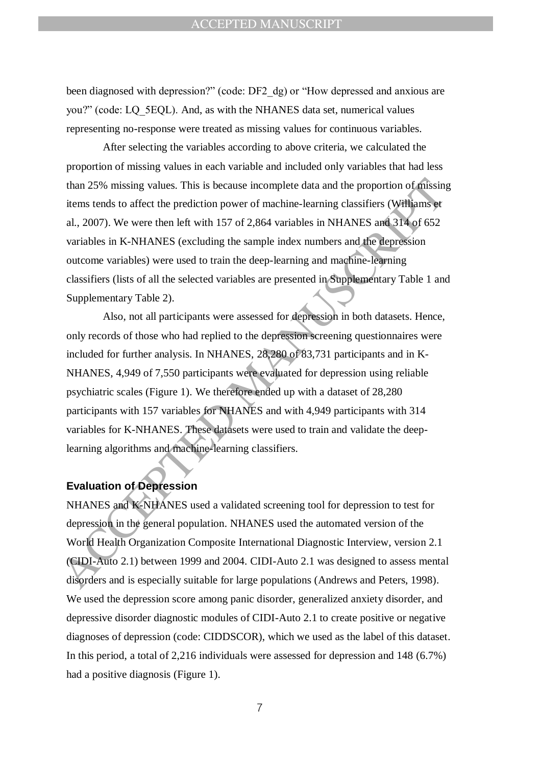been diagnosed with depression?" (code: DF2\_dg) or "How depressed and anxious are you?" (code: LQ\_5EQL). And, as with the NHANES data set, numerical values representing no-response were treated as missing values for continuous variables.

After selecting the variables according to above criteria, we calculated the proportion of missing values in each variable and included only variables that had less than 25% missing values. This is because incomplete data and the proportion of missing items tends to affect the prediction power of machine-learning classifiers (Williams et al., 2007). We were then left with 157 of 2,864 variables in NHANES and 314 of 652 variables in K-NHANES (excluding the sample index numbers and the depression outcome variables) were used to train the deep-learning and machine-learning classifiers (lists of all the selected variables are presented in Supplementary Table 1 and Supplementary Table 2).

than 25% missing values. This is because incomplete data and the proportion of finisting<br>items tends to affect the prediction power of machine-learning classifiers (Williams yt<br>al., 2007). We were then left with 157 of 2, Also, not all participants were assessed for depression in both datasets. Hence, only records of those who had replied to the depression screening questionnaires were included for further analysis. In NHANES, 28,280 of 83,731 participants and in K-NHANES, 4,949 of 7,550 participants were evaluated for depression using reliable psychiatric scales (Figure 1). We therefore ended up with a dataset of 28,280 participants with 157 variables for NHANES and with 4,949 participants with 314 variables for K-NHANES. These datasets were used to train and validate the deeplearning algorithms and machine-learning classifiers.

### **Evaluation of Depression**

NHANES and K-NHANES used a validated screening tool for depression to test for depression in the general population. NHANES used the automated version of the World Health Organization Composite International Diagnostic Interview, version 2.1 (CIDI-Auto 2.1) between 1999 and 2004. CIDI-Auto 2.1 was designed to assess mental disorders and is especially suitable for large populations (Andrews and Peters, 1998). We used the depression score among panic disorder, generalized anxiety disorder, and depressive disorder diagnostic modules of CIDI-Auto 2.1 to create positive or negative diagnoses of depression (code: CIDDSCOR), which we used as the label of this dataset. In this period, a total of 2,216 individuals were assessed for depression and 148 (6.7%) had a positive diagnosis (Figure 1).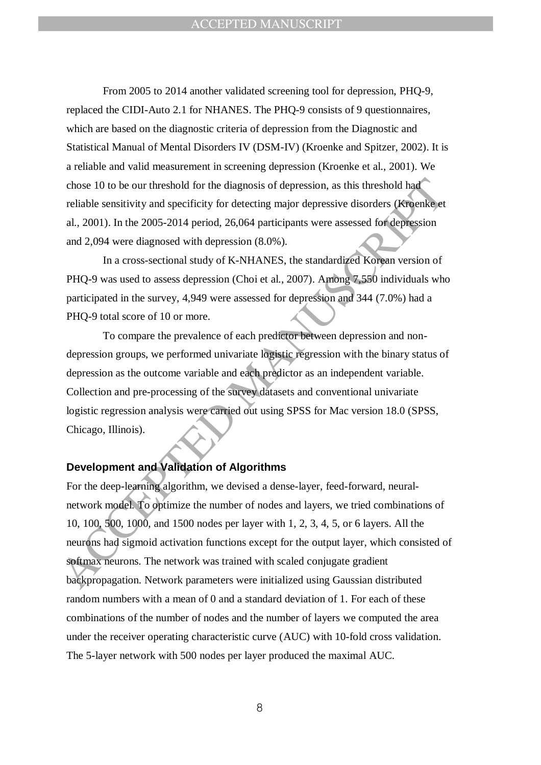From 2005 to 2014 another validated screening tool for depression, PHQ-9, replaced the CIDI-Auto 2.1 for NHANES. The PHQ-9 consists of 9 questionnaires, which are based on the diagnostic criteria of depression from the Diagnostic and Statistical Manual of Mental Disorders IV (DSM-IV) (Kroenke and Spitzer, 2002). It is a reliable and valid measurement in screening depression (Kroenke et al., 2001). We chose 10 to be our threshold for the diagnosis of depression, as this threshold had reliable sensitivity and specificity for detecting major depressive disorders (Kroenke et al., 2001). In the 2005-2014 period, 26,064 participants were assessed for depression and 2,094 were diagnosed with depression (8.0%).

In a cross-sectional study of K-NHANES, the standardized Korean version of PHQ-9 was used to assess depression (Choi et al., 2007). Among 7,550 individuals who participated in the survey, 4,949 were assessed for depression and 344 (7.0%) had a PHO-9 total score of 10 or more.

To compare the prevalence of each predictor between depression and nondepression groups, we performed univariate logistic regression with the binary status of depression as the outcome variable and each predictor as an independent variable. Collection and pre-processing of the survey datasets and conventional univariate logistic regression analysis were carried out using SPSS for Mac version 18.0 (SPSS, Chicago, Illinois).

## **Development and Validation of Algorithms**

chose 10 to be our threshold for the diagnosis of depression, as this threshold had<br>reliable sensitivity and specificity for detecting major depressive disorders (**Kre**enke)et<br>al., 2001). In the 2005-2014 period, 26.064 p For the deep-learning algorithm, we devised a dense-layer, feed-forward, neuralnetwork model. To optimize the number of nodes and layers, we tried combinations of 10, 100, 500, 1000, and 1500 nodes per layer with 1, 2, 3, 4, 5, or 6 layers. All the neurons had sigmoid activation functions except for the output layer, which consisted of softmax neurons. The network was trained with scaled conjugate gradient backpropagation. Network parameters were initialized using Gaussian distributed random numbers with a mean of 0 and a standard deviation of 1. For each of these combinations of the number of nodes and the number of layers we computed the area under the receiver operating characteristic curve (AUC) with 10-fold cross validation. The 5-layer network with 500 nodes per layer produced the maximal AUC.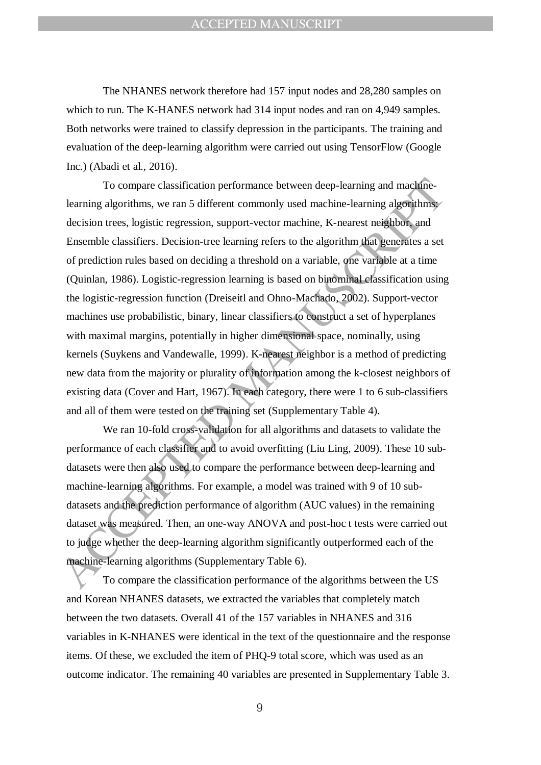The NHANES network therefore had 157 input nodes and 28,280 samples on which to run. The K-HANES network had 314 input nodes and ran on 4,949 samples. Both networks were trained to classify depression in the participants. The training and evaluation of the deep-learning algorithm were carried out using TensorFlow (Google Inc.) (Abadi et al., 2016).

To compare classification performance between deep-learning and machine-<br>learning algorithms, we ran 5 different commonly used machine-learning algorithms<br>decision trees, logistic regression, support-vector machine, K-nea To compare classification performance between deep-learning and machinelearning algorithms, we ran 5 different commonly used machine-learning algorithms: decision trees, logistic regression, support-vector machine, K-nearest neighbor, and Ensemble classifiers. Decision-tree learning refers to the algorithm that generates a set of prediction rules based on deciding a threshold on a variable, one variable at a time (Quinlan, 1986). Logistic-regression learning is based on binominal classification using the logistic-regression function (Dreiseitl and Ohno-Machado, 2002). Support-vector machines use probabilistic, binary, linear classifiers to construct a set of hyperplanes with maximal margins, potentially in higher dimensional space, nominally, using kernels (Suykens and Vandewalle, 1999). K-nearest neighbor is a method of predicting new data from the majority or plurality of information among the k-closest neighbors of existing data (Cover and Hart, 1967). In each category, there were 1 to 6 sub-classifiers and all of them were tested on the training set (Supplementary Table 4).

We ran 10-fold cross-validation for all algorithms and datasets to validate the performance of each classifier and to avoid overfitting (Liu Ling, 2009). These 10 subdatasets were then also used to compare the performance between deep-learning and machine-learning algorithms. For example, a model was trained with 9 of 10 subdatasets and the prediction performance of algorithm (AUC values) in the remaining dataset was measured. Then, an one-way ANOVA and post-hoc t tests were carried out to judge whether the deep-learning algorithm significantly outperformed each of the machine-learning algorithms (Supplementary Table 6).

To compare the classification performance of the algorithms between the US and Korean NHANES datasets, we extracted the variables that completely match between the two datasets. Overall 41 of the 157 variables in NHANES and 316 variables in K-NHANES were identical in the text of the questionnaire and the response items. Of these, we excluded the item of PHQ-9 total score, which was used as an outcome indicator. The remaining 40 variables are presented in Supplementary Table 3.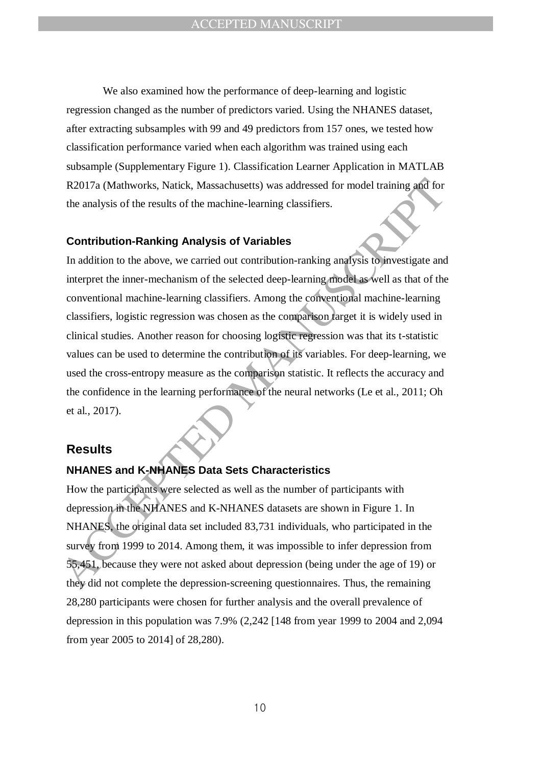We also examined how the performance of deep-learning and logistic regression changed as the number of predictors varied. Using the NHANES dataset, after extracting subsamples with 99 and 49 predictors from 157 ones, we tested how classification performance varied when each algorithm was trained using each subsample (Supplementary Figure 1). Classification Learner Application in MATLAB R2017a (Mathworks, Natick, Massachusetts) was addressed for model training and for the analysis of the results of the machine-learning classifiers.

### **Contribution-Ranking Analysis of Variables**

R2017a (Mathworks, Natick, Massachusetts) was addressed for model training and for<br>the analysis of the results of the machine-learning classifiers.<br> **Contribution-Ranking Analysis of Variables**<br>
In addition to the above, In addition to the above, we carried out contribution-ranking analysis to investigate and interpret the inner-mechanism of the selected deep-learning model as well as that of the conventional machine-learning classifiers. Among the conventional machine-learning classifiers, logistic regression was chosen as the comparison target it is widely used in clinical studies. Another reason for choosing logistic regression was that its t-statistic values can be used to determine the contribution of its variables. For deep-learning, we used the cross-entropy measure as the comparison statistic. It reflects the accuracy and the confidence in the learning performance of the neural networks (Le et al., 2011; Oh et al., 2017).

### **Results**

### **NHANES and K-NHANES Data Sets Characteristics**

How the participants were selected as well as the number of participants with depression in the NHANES and K-NHANES datasets are shown in Figure 1. In NHANES, the original data set included 83,731 individuals, who participated in the survey from 1999 to 2014. Among them, it was impossible to infer depression from 55,451, because they were not asked about depression (being under the age of 19) or they did not complete the depression-screening questionnaires. Thus, the remaining 28,280 participants were chosen for further analysis and the overall prevalence of depression in this population was 7.9% (2,242 [148 from year 1999 to 2004 and 2,094 from year 2005 to 2014] of 28,280).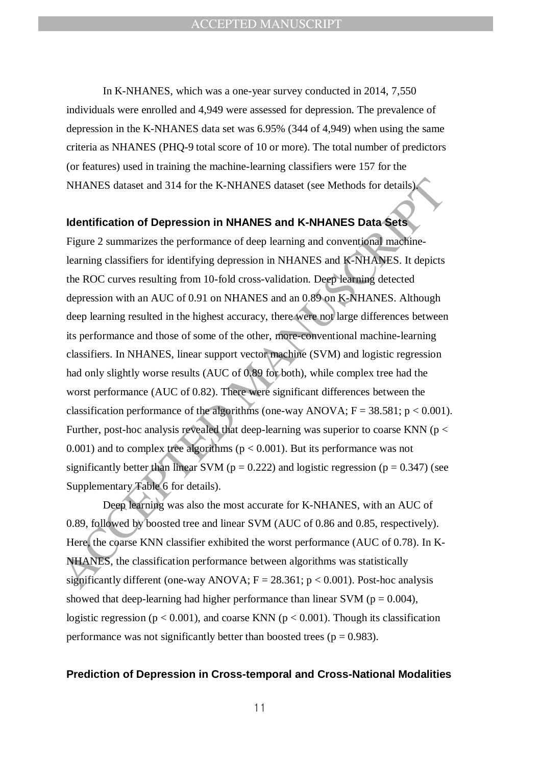In K-NHANES, which was a one-year survey conducted in 2014, 7,550 individuals were enrolled and 4,949 were assessed for depression. The prevalence of depression in the K-NHANES data set was 6.95% (344 of 4,949) when using the same criteria as NHANES (PHQ-9 total score of 10 or more). The total number of predictors (or features) used in training the machine-learning classifiers were 157 for the NHANES dataset and 314 for the K-NHANES dataset (see Methods for details).

#### **Identification of Depression in NHANES and K-NHANES Data Sets**

NHANES dataset and 314 for the K-NHANES dataset (see Methods for details)<br> **Identification of Depression in NHANES and K-NHANES Data Sets**<br> **Identification of Depression in NHANES and K-NHANES Data Sets**<br> **Identification** Figure 2 summarizes the performance of deep learning and conventional machinelearning classifiers for identifying depression in NHANES and K-NHANES. It depicts the ROC curves resulting from 10-fold cross-validation. Deep learning detected depression with an AUC of 0.91 on NHANES and an 0.89 on K-NHANES. Although deep learning resulted in the highest accuracy, there were not large differences between its performance and those of some of the other, more-conventional machine-learning classifiers. In NHANES, linear support vector machine (SVM) and logistic regression had only slightly worse results (AUC of 0.89 for both), while complex tree had the worst performance (AUC of 0.82). There were significant differences between the classification performance of the algorithms (one-way ANOVA;  $F = 38.581$ ;  $p < 0.001$ ). Further, post-hoc analysis revealed that deep-learning was superior to coarse KNN ( $p <$ 0.001) and to complex tree algorithms ( $p < 0.001$ ). But its performance was not significantly better than linear SVM ( $p = 0.222$ ) and logistic regression ( $p = 0.347$ ) (see Supplementary Table 6 for details).

Deep learning was also the most accurate for K-NHANES, with an AUC of 0.89, followed by boosted tree and linear SVM (AUC of 0.86 and 0.85, respectively). Here, the coarse KNN classifier exhibited the worst performance (AUC of 0.78). In K-NHANES, the classification performance between algorithms was statistically significantly different (one-way ANOVA;  $F = 28.361$ ;  $p < 0.001$ ). Post-hoc analysis showed that deep-learning had higher performance than linear SVM ( $p = 0.004$ ), logistic regression ( $p < 0.001$ ), and coarse KNN ( $p < 0.001$ ). Though its classification performance was not significantly better than boosted trees ( $p = 0.983$ ).

#### **Prediction of Depression in Cross-temporal and Cross-National Modalities**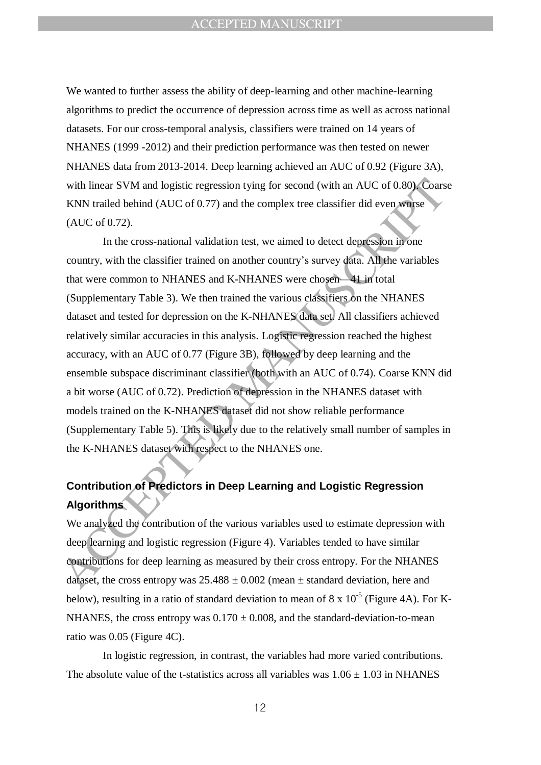We wanted to further assess the ability of deep-learning and other machine-learning algorithms to predict the occurrence of depression across time as well as across national datasets. For our cross-temporal analysis, classifiers were trained on 14 years of NHANES (1999 -2012) and their prediction performance was then tested on newer NHANES data from 2013-2014. Deep learning achieved an AUC of 0.92 (Figure 3A), with linear SVM and logistic regression tying for second (with an AUC of 0.80**)**. Coarse KNN trailed behind (AUC of 0.77) and the complex tree classifier did even worse (AUC of 0.72).

with linear SVM and logistic regression tying for second (with an AUC of 0.80). Coars<br>
KNN trailed behind (AUC of 0.77) and the complex tree classifier did even were<br>
(AUC of 0.72).<br>
HD the cross-national validation test, In the cross-national validation test, we aimed to detect depression in one country, with the classifier trained on another country's survey data. All the variables that were common to NHANES and K-NHANES were chosen—41 in total (Supplementary Table 3). We then trained the various classifiers on the NHANES dataset and tested for depression on the K-NHANES data set. All classifiers achieved relatively similar accuracies in this analysis. Logistic regression reached the highest accuracy, with an AUC of 0.77 (Figure 3B), followed by deep learning and the ensemble subspace discriminant classifier (both with an AUC of 0.74). Coarse KNN did a bit worse (AUC of 0.72). Prediction of depression in the NHANES dataset with models trained on the K-NHANES dataset did not show reliable performance (Supplementary Table 5). This is likely due to the relatively small number of samples in the K-NHANES dataset with respect to the NHANES one.

# **Contribution of Predictors in Deep Learning and Logistic Regression Algorithms**

We analyzed the contribution of the various variables used to estimate depression with deep learning and logistic regression (Figure 4). Variables tended to have similar contributions for deep learning as measured by their cross entropy. For the NHANES dataset, the cross entropy was  $25.488 \pm 0.002$  (mean  $\pm$  standard deviation, here and below), resulting in a ratio of standard deviation to mean of 8 x  $10^{-5}$  (Figure 4A). For K-NHANES, the cross entropy was  $0.170 \pm 0.008$ , and the standard-deviation-to-mean ratio was 0.05 (Figure 4C).

In logistic regression, in contrast, the variables had more varied contributions. The absolute value of the t-statistics across all variables was  $1.06 \pm 1.03$  in NHANES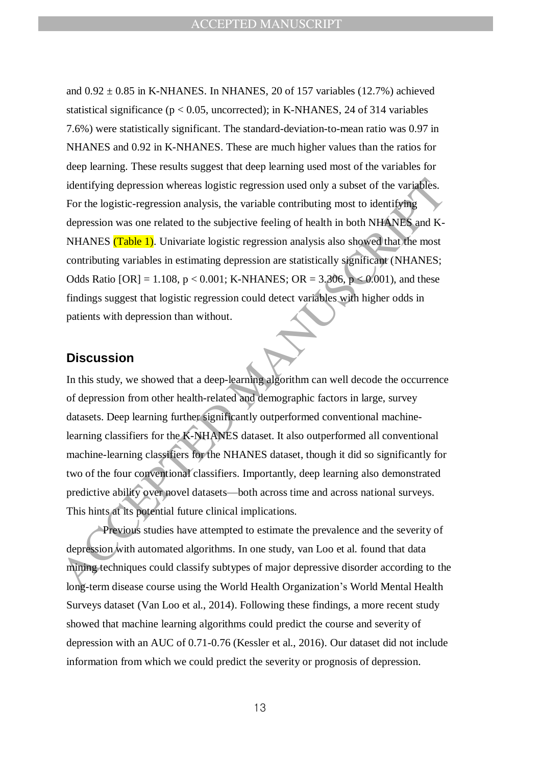identifying depression whereas logistic regression used only a subset of the variables.<br>
For the logistic-regression analysis, the variable contributing most to identifying<br>
depression was one related to the subjective fe and  $0.92 \pm 0.85$  in K-NHANES. In NHANES, 20 of 157 variables (12.7%) achieved statistical significance ( $p < 0.05$ , uncorrected); in K-NHANES, 24 of 314 variables 7.6%) were statistically significant. The standard-deviation-to-mean ratio was 0.97 in NHANES and 0.92 in K-NHANES. These are much higher values than the ratios for deep learning. These results suggest that deep learning used most of the variables for identifying depression whereas logistic regression used only a subset of the variables. For the logistic-regression analysis, the variable contributing most to identifying depression was one related to the subjective feeling of health in both NHANES and K-NHANES (Table 1). Univariate logistic regression analysis also showed that the most contributing variables in estimating depression are statistically significant (NHANES; Odds Ratio  $[OR] = 1.108$ ,  $p < 0.001$ ; K-NHANES; OR = 3.306,  $p < 0.001$ ), and these findings suggest that logistic regression could detect variables with higher odds in patients with depression than without.

### **Discussion**

In this study, we showed that a deep-learning algorithm can well decode the occurrence of depression from other health-related and demographic factors in large, survey datasets. Deep learning further significantly outperformed conventional machinelearning classifiers for the K-NHANES dataset. It also outperformed all conventional machine-learning classifiers for the NHANES dataset, though it did so significantly for two of the four conventional classifiers. Importantly, deep learning also demonstrated predictive ability over novel datasets—both across time and across national surveys. This hints at its potential future clinical implications.

Previous studies have attempted to estimate the prevalence and the severity of depression with automated algorithms. In one study, van Loo et al. found that data mining techniques could classify subtypes of major depressive disorder according to the long-term disease course using the World Health Organization's World Mental Health Surveys dataset (Van Loo et al., 2014). Following these findings, a more recent study showed that machine learning algorithms could predict the course and severity of depression with an AUC of 0.71-0.76 (Kessler et al., 2016). Our dataset did not include information from which we could predict the severity or prognosis of depression.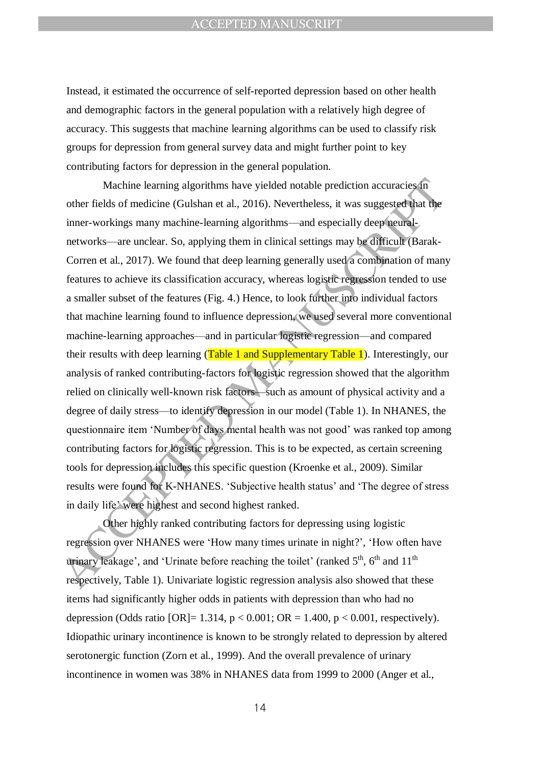Instead, it estimated the occurrence of self-reported depression based on other health and demographic factors in the general population with a relatively high degree of accuracy. This suggests that machine learning algorithms can be used to classify risk groups for depression from general survey data and might further point to key contributing factors for depression in the general population.

Machine learning algorithms have yielded notable prediction accuracies for<br>other fields of medicine (Gulshan et al., 2016). Nevertheless, it was suggested bat the<br>inner-workings many machine-learning algorithms—and especi Machine learning algorithms have yielded notable prediction accuracies in other fields of medicine (Gulshan et al., 2016). Nevertheless, it was suggested that the inner-workings many machine-learning algorithms—and especially deep neuralnetworks—are unclear. So, applying them in clinical settings may be difficult (Barak-Corren et al., 2017). We found that deep learning generally used a combination of many features to achieve its classification accuracy, whereas logistic regression tended to use a smaller subset of the features (Fig. 4.) Hence, to look further into individual factors that machine learning found to influence depression, we used several more conventional machine-learning approaches—and in particular logistic regression—and compared their results with deep learning (Table 1 and Supplementary Table 1). Interestingly, our analysis of ranked contributing-factors for logistic regression showed that the algorithm relied on clinically well-known risk factors—such as amount of physical activity and a degree of daily stress—to identify depression in our model (Table 1). In NHANES, the questionnaire item 'Number of days mental health was not good' was ranked top among contributing factors for logistic regression. This is to be expected, as certain screening tools for depression includes this specific question (Kroenke et al., 2009). Similar results were found for K-NHANES. 'Subjective health status' and 'The degree of stress in daily life' were highest and second highest ranked.

Other highly ranked contributing factors for depressing using logistic regression over NHANES were 'How many times urinate in night?', 'How often have urinary leakage', and 'Urinate before reaching the toilet' (ranked  $5<sup>th</sup>$ ,  $6<sup>th</sup>$  and  $11<sup>th</sup>$ respectively, Table 1). Univariate logistic regression analysis also showed that these items had significantly higher odds in patients with depression than who had no depression (Odds ratio  $[OR] = 1.314$ ,  $p < 0.001$ ;  $OR = 1.400$ ,  $p < 0.001$ , respectively). Idiopathic urinary incontinence is known to be strongly related to depression by altered serotonergic function (Zorn et al., 1999). And the overall prevalence of urinary incontinence in women was 38% in NHANES data from 1999 to 2000 (Anger et al.,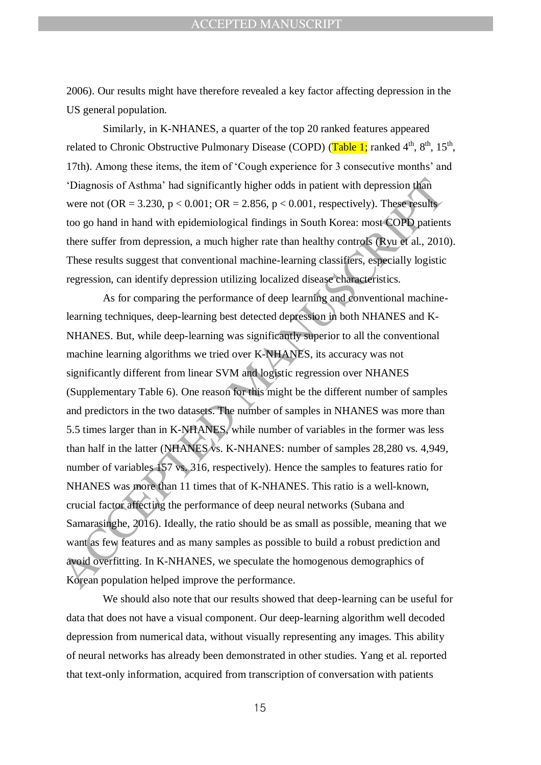2006). Our results might have therefore revealed a key factor affecting depression in the US general population.

Similarly, in K-NHANES, a quarter of the top 20 ranked features appeared related to Chronic Obstructive Pulmonary Disease (COPD) (Table 1; ranked 4<sup>th</sup>, 8<sup>th</sup>, 15<sup>th</sup>, 17th). Among these items, the item of ‗Cough experience for 3 consecutive months' and ‗Diagnosis of Asthma' had significantly higher odds in patient with depression than were not  $(OR = 3.230, p < 0.001; OR = 2.856, p < 0.001$ , respectively). These results too go hand in hand with epidemiological findings in South Korea: most COPD patients there suffer from depression, a much higher rate than healthy controls (Ryu et al., 2010). These results suggest that conventional machine-learning classifiers, especially logistic regression, can identify depression utilizing localized disease characteristics.

'Diagnosis of Asthma' had significantly higher odds in patient with depression than<br>were not (OR = 3.230, p < 0.001; OR = 2.856, p < 0.001; respectively). These results<br>too go hand in hand with epidemiological findings in As for comparing the performance of deep learning and conventional machinelearning techniques, deep-learning best detected depression in both NHANES and K-NHANES. But, while deep-learning was significantly superior to all the conventional machine learning algorithms we tried over K-NHANES, its accuracy was not significantly different from linear SVM and logistic regression over NHANES (Supplementary Table 6). One reason for this might be the different number of samples and predictors in the two datasets. The number of samples in NHANES was more than 5.5 times larger than in K-NHANES, while number of variables in the former was less than half in the latter (NHANES vs. K-NHANES: number of samples 28,280 vs. 4,949, number of variables 157 vs. 316, respectively). Hence the samples to features ratio for NHANES was more than 11 times that of K-NHANES. This ratio is a well-known, crucial factor affecting the performance of deep neural networks (Subana and Samarasinghe, 2016). Ideally, the ratio should be as small as possible, meaning that we want as few features and as many samples as possible to build a robust prediction and avoid overfitting. In K-NHANES, we speculate the homogenous demographics of Korean population helped improve the performance.

We should also note that our results showed that deep-learning can be useful for data that does not have a visual component. Our deep-learning algorithm well decoded depression from numerical data, without visually representing any images. This ability of neural networks has already been demonstrated in other studies. Yang et al. reported that text-only information, acquired from transcription of conversation with patients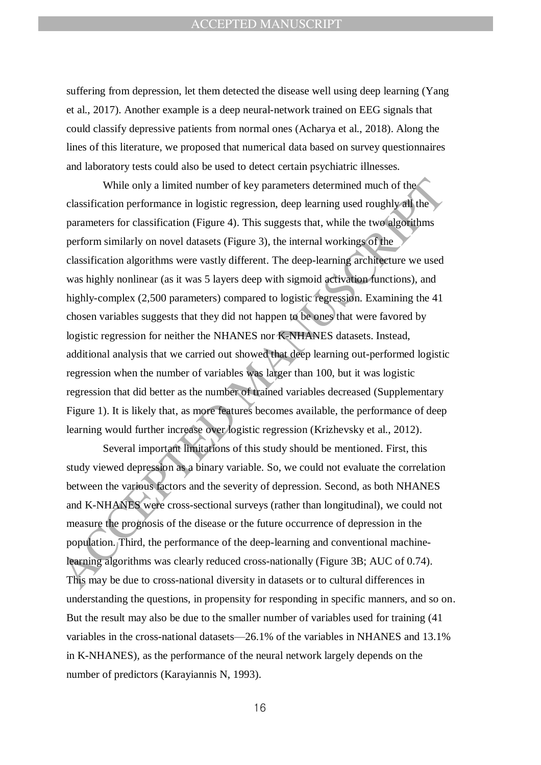suffering from depression, let them detected the disease well using deep learning (Yang et al., 2017). Another example is a deep neural-network trained on EEG signals that could classify depressive patients from normal ones (Acharya et al., 2018). Along the lines of this literature, we proposed that numerical data based on survey questionnaires and laboratory tests could also be used to detect certain psychiatric illnesses.

While only a limited number of key parameters determined much of the<br>classification performance in logistic regression, deep learning used roughly all the<br>parameters for classification (Figure 4). This suggests that, whil While only a limited number of key parameters determined much of the classification performance in logistic regression, deep learning used roughly all the parameters for classification (Figure 4). This suggests that, while the two algorithms perform similarly on novel datasets (Figure 3), the internal workings of the classification algorithms were vastly different. The deep-learning architecture we used was highly nonlinear (as it was 5 layers deep with sigmoid activation functions), and highly-complex (2,500 parameters) compared to logistic regression. Examining the 41 chosen variables suggests that they did not happen to be ones that were favored by logistic regression for neither the NHANES nor K-NHANES datasets. Instead, additional analysis that we carried out showed that deep learning out-performed logistic regression when the number of variables was larger than 100, but it was logistic regression that did better as the number of trained variables decreased (Supplementary Figure 1). It is likely that, as more features becomes available, the performance of deep learning would further increase over logistic regression (Krizhevsky et al., 2012).

Several important limitations of this study should be mentioned. First, this study viewed depression as a binary variable. So, we could not evaluate the correlation between the various factors and the severity of depression. Second, as both NHANES and K-NHANES were cross-sectional surveys (rather than longitudinal), we could not measure the prognosis of the disease or the future occurrence of depression in the population. Third, the performance of the deep-learning and conventional machinelearning algorithms was clearly reduced cross-nationally (Figure 3B; AUC of 0.74). This may be due to cross-national diversity in datasets or to cultural differences in understanding the questions, in propensity for responding in specific manners, and so on. But the result may also be due to the smaller number of variables used for training (41 variables in the cross-national datasets—26.1% of the variables in NHANES and 13.1% in K-NHANES), as the performance of the neural network largely depends on the number of predictors (Karayiannis N, 1993).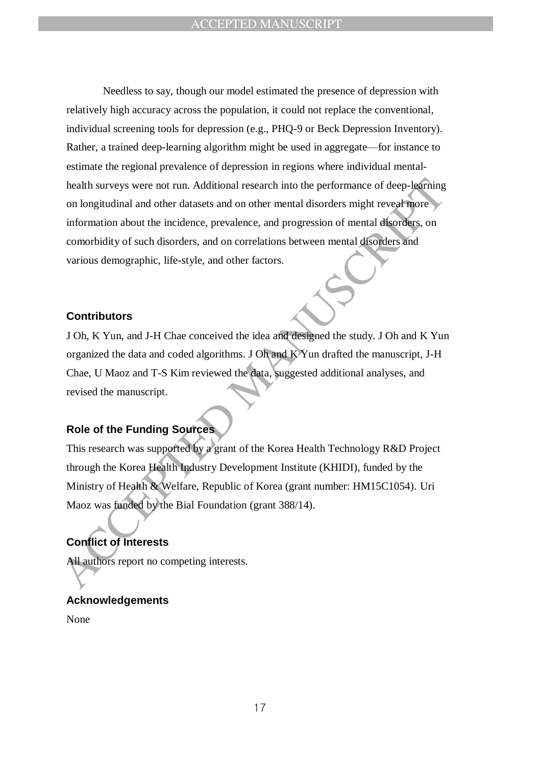health surveys were not run. Additional research into the performance of deep-learning<br>on longitudinal and other datasets and on other mental disorders might reveal more<br>information about the incidence, prevalence, and pro Needless to say, though our model estimated the presence of depression with relatively high accuracy across the population, it could not replace the conventional, individual screening tools for depression (e.g., PHQ-9 or Beck Depression Inventory). Rather, a trained deep-learning algorithm might be used in aggregate—for instance to estimate the regional prevalence of depression in regions where individual mentalhealth surveys were not run. Additional research into the performance of deep-learning on longitudinal and other datasets and on other mental disorders might reveal more information about the incidence, prevalence, and progression of mental disorders, on comorbidity of such disorders, and on correlations between mental disorders and various demographic, life-style, and other factors.

### **Contributors**

J Oh, K Yun, and J-H Chae conceived the idea and designed the study. J Oh and K Yun organized the data and coded algorithms. J Oh and K Yun drafted the manuscript, J-H Chae, U Maoz and T-S Kim reviewed the data, suggested additional analyses, and revised the manuscript.

### **Role of the Funding Sources**

This research was supported by a grant of the Korea Health Technology R&D Project through the Korea Health Industry Development Institute (KHIDI), funded by the Ministry of Health & Welfare, Republic of Korea (grant number: HM15C1054). Uri Maoz was funded by the Bial Foundation (grant 388/14).

# **Conflict of Interests**

All authors report no competing interests.

# **Acknowledgements** None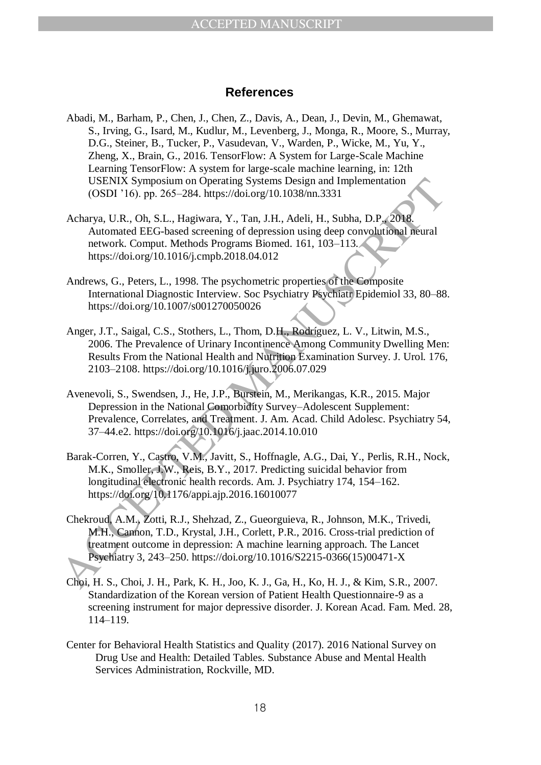### **References**

- Abadi, M., Barham, P., Chen, J., Chen, Z., Davis, A., Dean, J., Devin, M., Ghemawat, S., Irving, G., Isard, M., Kudlur, M., Levenberg, J., Monga, R., Moore, S., Murray, D.G., Steiner, B., Tucker, P., Vasudevan, V., Warden, P., Wicke, M., Yu, Y., Zheng, X., Brain, G., 2016. TensorFlow: A System for Large-Scale Machine Learning TensorFlow: A system for large-scale machine learning, in: 12th USENIX Symposium on Operating Systems Design and Implementation (OSDI '16). pp. 265–284. https://doi.org/10.1038/nn.3331
- Acharya, U.R., Oh, S.L., Hagiwara, Y., Tan, J.H., Adeli, H., Subha, D.P., 2018. Automated EEG-based screening of depression using deep convolutional neural network. Comput. Methods Programs Biomed. 161, 103–113. https://doi.org/10.1016/j.cmpb.2018.04.012
- Andrews, G., Peters, L., 1998. The psychometric properties of the Composite International Diagnostic Interview. Soc Psychiatry Psychiatr Epidemiol 33, 80–88. https://doi.org/10.1007/s001270050026
- Anger, J.T., Saigal, C.S., Stothers, L., Thom, D.H., Rodríguez, L. V., Litwin, M.S., 2006. The Prevalence of Urinary Incontinence Among Community Dwelling Men: Results From the National Health and Nutrition Examination Survey. J. Urol. 176, 2103–2108. https://doi.org/10.1016/j.juro.2006.07.029
- Avenevoli, S., Swendsen, J., He, J.P., Burstein, M., Merikangas, K.R., 2015. Major Depression in the National Comorbidity Survey–Adolescent Supplement: Prevalence, Correlates, and Treatment. J. Am. Acad. Child Adolesc. Psychiatry 54, 37–44.e2. https://doi.org/10.1016/j.jaac.2014.10.010
- Barak-Corren, Y., Castro, V.M., Javitt, S., Hoffnagle, A.G., Dai, Y., Perlis, R.H., Nock, M.K., Smoller, J.W., Reis, B.Y., 2017. Predicting suicidal behavior from longitudinal electronic health records. Am. J. Psychiatry 174, 154–162. https://doi.org/10.1176/appi.ajp.2016.16010077
- USENIX Symposium on Operating Systems Design and Implementation<br>
(OSDI Y16). pp. 265-284. https://doi.org/10.1038mn.3331<br>
Acharya, U.R., Oh. S.L., Hagiwara, Y., Tan, J.H., Adeli, H., Subha, D.P.,2008<br>
Automated EEG-based s Chekroud, A.M., Zotti, R.J., Shehzad, Z., Gueorguieva, R., Johnson, M.K., Trivedi, M.H., Cannon, T.D., Krystal, J.H., Corlett, P.R., 2016. Cross-trial prediction of treatment outcome in depression: A machine learning approach. The Lancet Psychiatry 3, 243–250. https://doi.org/10.1016/S2215-0366(15)00471-X
	- Choi, H. S., Choi, J. H., Park, K. H., Joo, K. J., Ga, H., Ko, H. J., & Kim, S.R., 2007. Standardization of the Korean version of Patient Health Questionnaire-9 as a screening instrument for major depressive disorder. J. Korean Acad. Fam. Med. 28, 114–119.
	- Center for Behavioral Health Statistics and Quality (2017). 2016 National Survey on Drug Use and Health: Detailed Tables. Substance Abuse and Mental Health Services Administration, Rockville, MD.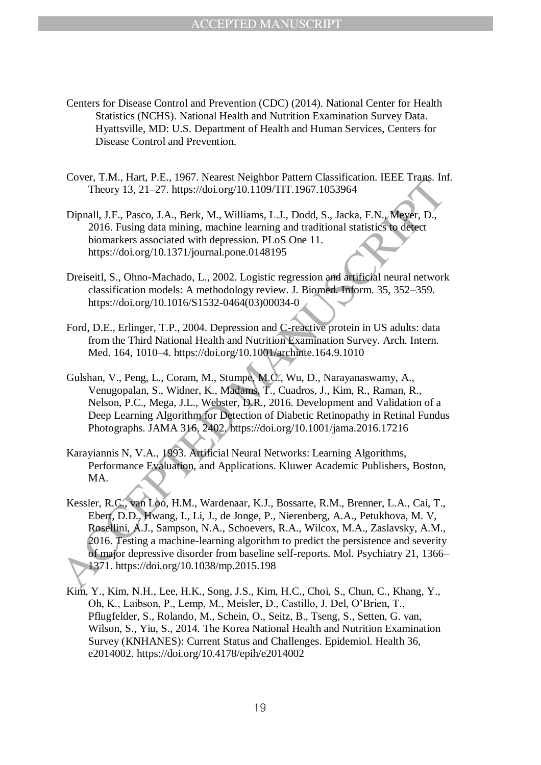- Centers for Disease Control and Prevention (CDC) (2014). National Center for Health Statistics (NCHS). National Health and Nutrition Examination Survey Data. Hyattsville, MD: U.S. Department of Health and Human Services, Centers for Disease Control and Prevention.
- Cover, T.M., Hart, P.E., 1967. Nearest Neighbor Pattern Classification. IEEE Trans. Inf. Theory 13, 21–27. https://doi.org/10.1109/TIT.1967.1053964
- Dipnall, J.F., Pasco, J.A., Berk, M., Williams, L.J., Dodd, S., Jacka, F.N., Meyer, D., 2016. Fusing data mining, machine learning and traditional statistics to detect biomarkers associated with depression. PLoS One 11. https://doi.org/10.1371/journal.pone.0148195
- Dreiseitl, S., Ohno-Machado, L., 2002. Logistic regression and artificial neural network classification models: A methodology review. J. Biomed. Inform. 35, 352–359. https://doi.org/10.1016/S1532-0464(03)00034-0
- Ford, D.E., Erlinger, T.P., 2004. Depression and C-reactive protein in US adults: data from the Third National Health and Nutrition Examination Survey. Arch. Intern. Med. 164, 1010–4. https://doi.org/10.1001/archinte.164.9.1010
- Gulshan, V., Peng, L., Coram, M., Stumpe, M.C., Wu, D., Narayanaswamy, A., Venugopalan, S., Widner, K., Madams, T., Cuadros, J., Kim, R., Raman, R., Nelson, P.C., Mega, J.L., Webster, D.R., 2016. Development and Validation of a Deep Learning Algorithm for Detection of Diabetic Retinopathy in Retinal Fundus Photographs. JAMA 316, 2402. https://doi.org/10.1001/jama.2016.17216
- Karayiannis N, V.A., 1993. Artificial Neural Networks: Learning Algorithms, Performance Evaluation, and Applications. Kluwer Academic Publishers, Boston, MA.
- Cover, 1.34, P.2, 1997. Vealest Neglaton Pattern Cassinces<br>
Theory 13, 21-27. https://doi.org/10.1109/171:1967.1053964<br>
Dipnall, J.F., Pasco, J.A., Berk, M., Williams, L.J., Dodd, S., Jacka, F.N., Meyer, D.,<br>
2016. Fusing Kessler, R.C., van Loo, H.M., Wardenaar, K.J., Bossarte, R.M., Brenner, L.A., Cai, T., Ebert, D.D., Hwang, I., Li, J., de Jonge, P., Nierenberg, A.A., Petukhova, M. V, Rosellini, A.J., Sampson, N.A., Schoevers, R.A., Wilcox, M.A., Zaslavsky, A.M., 2016. Testing a machine-learning algorithm to predict the persistence and severity of major depressive disorder from baseline self-reports. Mol. Psychiatry 21, 1366– 1371. https://doi.org/10.1038/mp.2015.198
	- Kim, Y., Kim, N.H., Lee, H.K., Song, J.S., Kim, H.C., Choi, S., Chun, C., Khang, Y., Oh, K., Laibson, P., Lemp, M., Meisler, D., Castillo, J. Del, O'Brien, T., Pflugfelder, S., Rolando, M., Schein, O., Seitz, B., Tseng, S., Setten, G. van, Wilson, S., Yiu, S., 2014. The Korea National Health and Nutrition Examination Survey (KNHANES): Current Status and Challenges. Epidemiol. Health 36, e2014002. https://doi.org/10.4178/epih/e2014002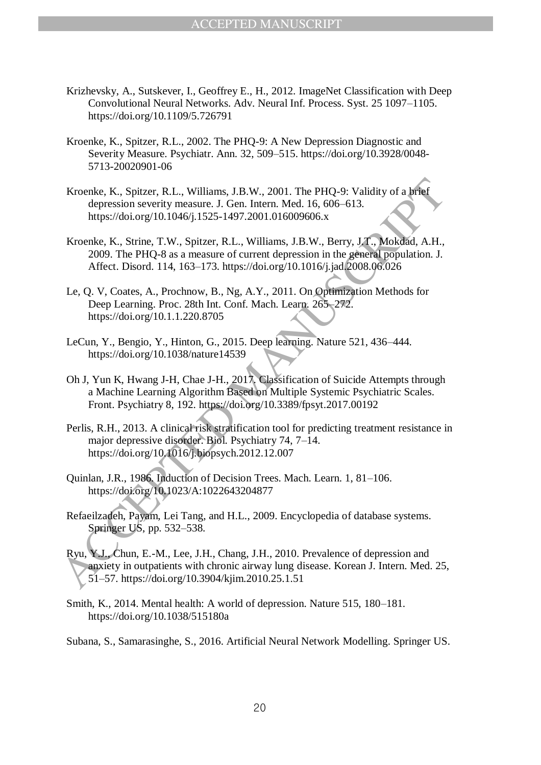- Krizhevsky, A., Sutskever, I., Geoffrey E., H., 2012. ImageNet Classification with Deep Convolutional Neural Networks. Adv. Neural Inf. Process. Syst. 25 1097–1105. https://doi.org/10.1109/5.726791
- Kroenke, K., Spitzer, R.L., 2002. The PHQ-9: A New Depression Diagnostic and Severity Measure. Psychiatr. Ann. 32, 509–515. https://doi.org/10.3928/0048- 5713-20020901-06
- Kroenke, K., Spitzer, R.L., Williams, J.B.W., 2001. The PHQ-9: Validity of a brief depression severity measure. J. Gen. Intern. Med. 16, 606–613. https://doi.org/10.1046/j.1525-1497.2001.016009606.x
- Kroenke, K., Spitzer, R.L., Williams, J.B.W., 2001. The PHQ-9: Validity of a brief depression svertive measure J. Gen. Intern. Med. 16, 606-613.<br>
kroenke, K., Strine, T.W., Spitzer, R.L., Williams, J.B.W., Berry, J.T., Mo Kroenke, K., Strine, T.W., Spitzer, R.L., Williams, J.B.W., Berry, J.T., Mokdad, A.H., 2009. The PHQ-8 as a measure of current depression in the general population. J. Affect. Disord. 114, 163–173. https://doi.org/10.1016/j.jad.2008.06.026
	- Le, Q. V, Coates, A., Prochnow, B., Ng, A.Y., 2011. On Optimization Methods for Deep Learning. Proc. 28th Int. Conf. Mach. Learn. 265–272. https://doi.org/10.1.1.220.8705
	- LeCun, Y., Bengio, Y., Hinton, G., 2015. Deep learning. Nature 521, 436–444. https://doi.org/10.1038/nature14539
	- Oh J, Yun K, Hwang J-H, Chae J-H., 2017. Classification of Suicide Attempts through a Machine Learning Algorithm Based on Multiple Systemic Psychiatric Scales. Front. Psychiatry 8, 192. https://doi.org/10.3389/fpsyt.2017.00192
	- Perlis, R.H., 2013. A clinical risk stratification tool for predicting treatment resistance in major depressive disorder. Biol. Psychiatry 74, 7–14. https://doi.org/10.1016/j.biopsych.2012.12.007
	- Quinlan, J.R., 1986. Induction of Decision Trees. Mach. Learn. 1, 81–106. https://doi.org/10.1023/A:1022643204877
	- Refaeilzadeh, Payam, Lei Tang, and H.L., 2009. Encyclopedia of database systems. Springer US, pp. 532–538.
	- Ryu, Y.J., Chun, E.-M., Lee, J.H., Chang, J.H., 2010. Prevalence of depression and anxiety in outpatients with chronic airway lung disease. Korean J. Intern. Med. 25, 51–57. https://doi.org/10.3904/kjim.2010.25.1.51
	- Smith, K., 2014. Mental health: A world of depression. Nature 515, 180–181. https://doi.org/10.1038/515180a
	- Subana, S., Samarasinghe, S., 2016. Artificial Neural Network Modelling. Springer US.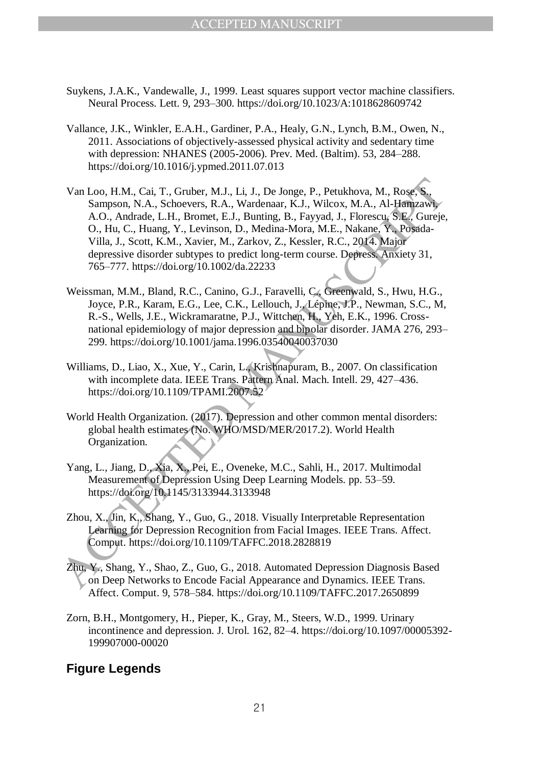- Suykens, J.A.K., Vandewalle, J., 1999. Least squares support vector machine classifiers. Neural Process. Lett. 9, 293–300. https://doi.org/10.1023/A:1018628609742
- Vallance, J.K., Winkler, E.A.H., Gardiner, P.A., Healy, G.N., Lynch, B.M., Owen, N., 2011. Associations of objectively-assessed physical activity and sedentary time with depression: NHANES (2005-2006). Prev. Med. (Baltim). 53, 284–288. https://doi.org/10.1016/j.ypmed.2011.07.013
- Van Loo, H.M., Cai, T., Gribber, M.J., Li, J., De Jonge, P., Petukhova, M., Roses, S., Samon, N.A., Al-Hem, 2007)<br>
A.O., Andrade, L.H., Bromet, E.J., Bunting, B., Fayyad, J., Florescu, S.E., Guine, A.O., Andrade, L.H., Bro Van Loo, H.M., Cai, T., Gruber, M.J., Li, J., De Jonge, P., Petukhova, M., Rose, S., Sampson, N.A., Schoevers, R.A., Wardenaar, K.J., Wilcox, M.A., Al-Hamzawi, A.O., Andrade, L.H., Bromet, E.J., Bunting, B., Fayyad, J., Florescu, S.E., Gureje, O., Hu, C., Huang, Y., Levinson, D., Medina-Mora, M.E., Nakane, Y., Posada-Villa, J., Scott, K.M., Xavier, M., Zarkov, Z., Kessler, R.C., 2014. Major depressive disorder subtypes to predict long-term course. Depress. Anxiety 31, 765–777. https://doi.org/10.1002/da.22233
	- Weissman, M.M., Bland, R.C., Canino, G.J., Faravelli, C., Greenwald, S., Hwu, H.G., Joyce, P.R., Karam, E.G., Lee, C.K., Lellouch, J., Lépine, J.P., Newman, S.C., M, R.-S., Wells, J.E., Wickramaratne, P.J., Wittchen, H., Yeh, E.K., 1996. Crossnational epidemiology of major depression and bipolar disorder. JAMA 276, 293– 299. https://doi.org/10.1001/jama.1996.03540040037030
	- Williams, D., Liao, X., Xue, Y., Carin, L., Krishnapuram, B., 2007. On classification with incomplete data. IEEE Trans. Pattern Anal. Mach. Intell. 29, 427–436. https://doi.org/10.1109/TPAMI.2007.52<sup>3</sup>
	- World Health Organization. (2017). Depression and other common mental disorders: global health estimates (No. WHO/MSD/MER/2017.2). World Health Organization.
	- Yang, L., Jiang, D., Xia, X., Pei, E., Oveneke, M.C., Sahli, H., 2017. Multimodal Measurement of Depression Using Deep Learning Models. pp. 53–59. https://doi.org/10.1145/3133944.3133948
	- Zhou, X., Jin, K., Shang, Y., Guo, G., 2018. Visually Interpretable Representation Learning for Depression Recognition from Facial Images. IEEE Trans. Affect. Comput. https://doi.org/10.1109/TAFFC.2018.2828819
	- Zhu, Y., Shang, Y., Shao, Z., Guo, G., 2018. Automated Depression Diagnosis Based on Deep Networks to Encode Facial Appearance and Dynamics. IEEE Trans. Affect. Comput. 9, 578–584. https://doi.org/10.1109/TAFFC.2017.2650899
	- Zorn, B.H., Montgomery, H., Pieper, K., Gray, M., Steers, W.D., 1999. Urinary incontinence and depression. J. Urol. 162, 82–4. https://doi.org/10.1097/00005392- 199907000-00020

# **Figure Legends**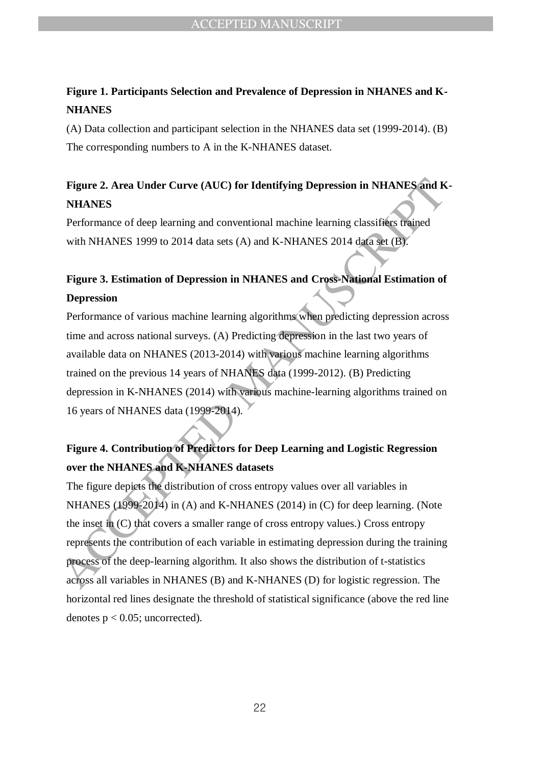# **Figure 1. Participants Selection and Prevalence of Depression in NHANES and K-NHANES**

(A) Data collection and participant selection in the NHANES data set (1999-2014). (B) The corresponding numbers to A in the K-NHANES dataset.

# **Figure 2. Area Under Curve (AUC) for Identifying Depression in NHANES and K-NHANES**

Performance of deep learning and conventional machine learning classifiers trained with NHANES 1999 to 2014 data sets (A) and K-NHANES 2014 data set (B).

# **Figure 3. Estimation of Depression in NHANES and Cross-National Estimation of Depression**

Performance of various machine learning algorithms when predicting depression across time and across national surveys. (A) Predicting depression in the last two years of available data on NHANES (2013-2014) with various machine learning algorithms trained on the previous 14 years of NHANES data (1999-2012). (B) Predicting depression in K-NHANES (2014) with various machine-learning algorithms trained on 16 years of NHANES data (1999-2014).

# **Figure 4. Contribution of Predictors for Deep Learning and Logistic Regression over the NHANES and K-NHANES datasets**

**Figure 2. Area Under Curve (AUC) for Identifying Depression in NHANES and K<br>
NHANES<br>
Performance of deep learning and conventional machine learning classifiers trajned<br>
with NHANES 1999 to 2014 data sets (A) and K-NHANES** The figure depicts the distribution of cross entropy values over all variables in NHANES (1999-2014) in (A) and K-NHANES (2014) in (C) for deep learning. (Note the inset in (C) that covers a smaller range of cross entropy values.) Cross entropy represents the contribution of each variable in estimating depression during the training process of the deep-learning algorithm. It also shows the distribution of t-statistics across all variables in NHANES (B) and K-NHANES (D) for logistic regression. The horizontal red lines designate the threshold of statistical significance (above the red line denotes  $p < 0.05$ ; uncorrected).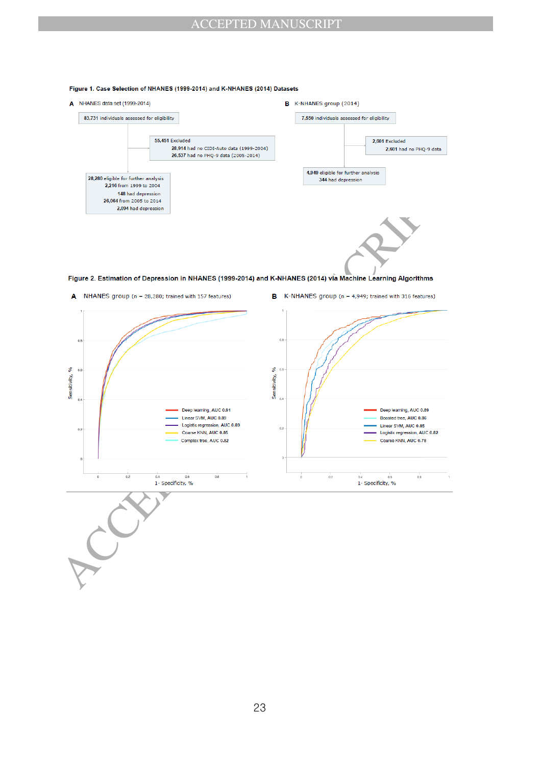#### Figure 1. Case Selection of NHANES (1999-2014) and K-NHANES (2014) Datasets

A NHANES data set (1999-2014)





- 
-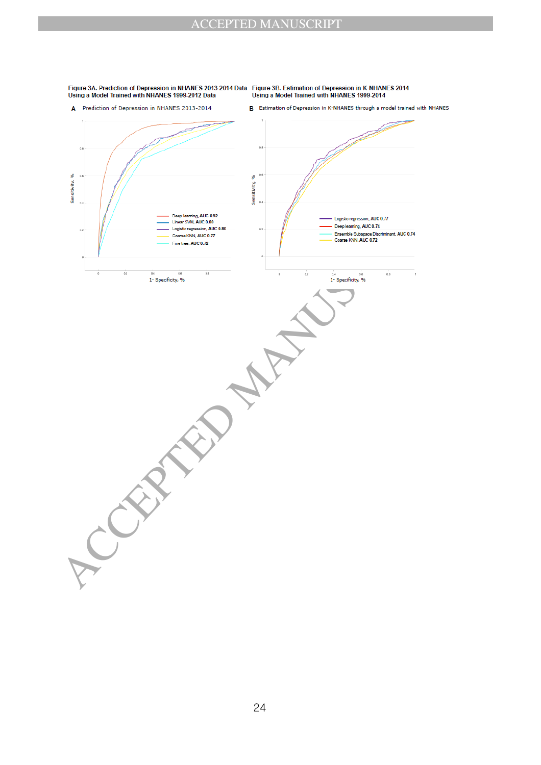

Figure 3A. Prediction of Depression in NHANES 2013-2014 Data Figure 3B. Estimation of Depression in K-NHANES 2014<br>Using a Model Trained with NHANES 1999-2012 Data Using a Model Trained with NHANES 1999-2014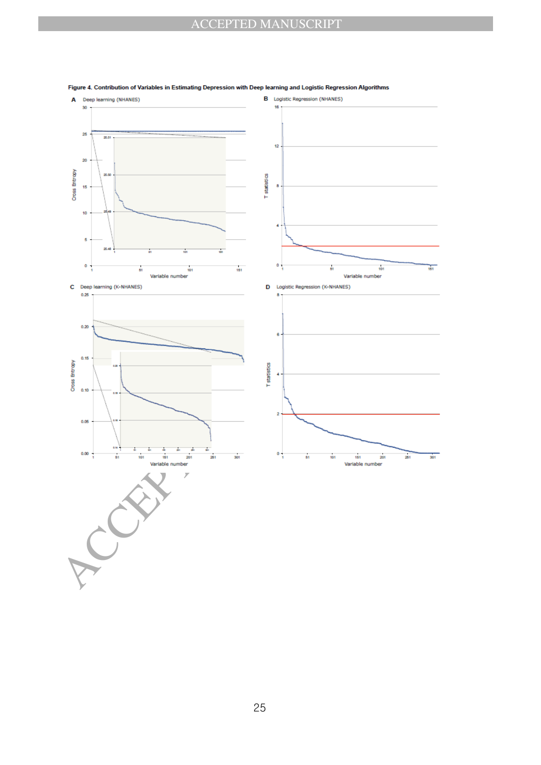

#### Figure 4. Contribution of Variables in Estimating Depression with Deep learning and Logistic Regression Algorithms